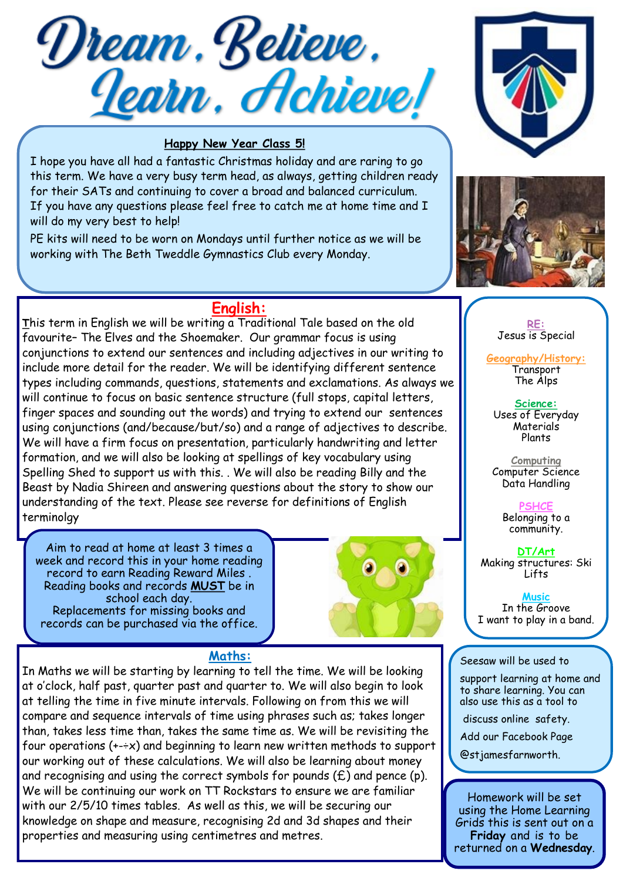Dream. Believe.<br><u>Jearn, Achieve!</u>

### **Happy New Year Class 5!**

I hope you have all had a fantastic Christmas holiday and are raring to go this term. We have a very busy term head, as always, getting children ready for their SATs and continuing to cover a broad and balanced curriculum. If you have any questions please feel free to catch me at home time and I will do my very best to help!

PE kits will need to be worn on Mondays until further notice as we will be working with The Beth Tweddle Gymnastics Club every Monday.





**RE:** Jesus is Special

**Geography/History:**  Transport The Alps

**Science:** Uses of Everyday Materials Plants

**Computing** Computer Science Data Handling

> **PSHCE**  Belonging to a community.

**DT/Art** Making structures: Ski Lifts

**Music** In the Groove I want to play in a band.

#### Seesaw will be used to

support learning at home and to share learning. You can also use this as a tool to

discuss online safety.

Add our Facebook Page

@stjamesfarnworth.

Homework will be set using the Home Learning Grids this is sent out on a **Friday** and is to be returned on a **Wednesday**.

## **English:**

**T**his term in English we will be writing a Traditional Tale based on the old favourite– The Elves and the Shoemaker. Our grammar focus is using conjunctions to extend our sentences and including adjectives in our writing to include more detail for the reader. We will be identifying different sentence types including commands, questions, statements and exclamations. As always we will continue to focus on basic sentence structure (full stops, capital letters, finger spaces and sounding out the words) and trying to extend our sentences using conjunctions (and/because/but/so) and a range of adjectives to describe. We will have a firm focus on presentation, particularly handwriting and letter formation, and we will also be looking at spellings of key vocabulary using Spelling Shed to support us with this. . We will also be reading Billy and the Beast by Nadia Shireen and answering questions about the story to show our understanding of the text. Please see reverse for definitions of English terminolgy

Aim to read at home at least 3 times a week and record this in your home reading record to earn Reading Reward Miles . Reading books and records **MUST** be in school each day. Replacements for missing books and records can be purchased via the office.



#### **Maths:**

In Maths we will be starting by learning to tell the time. We will be looking at o'clock, half past, quarter past and quarter to. We will also begin to look at telling the time in five minute intervals. Following on from this we will compare and sequence intervals of time using phrases such as; takes longer than, takes less time than, takes the same time as. We will be revisiting the four operations (+-÷x) and beginning to learn new written methods to support our working out of these calculations. We will also be learning about money and recognising and using the correct symbols for pounds  $(E)$  and pence (p). We will be continuing our work on TT Rockstars to ensure we are familiar with our 2/5/10 times tables. As well as this, we will be securing our knowledge on shape and measure, recognising 2d and 3d shapes and their properties and measuring using centimetres and metres.